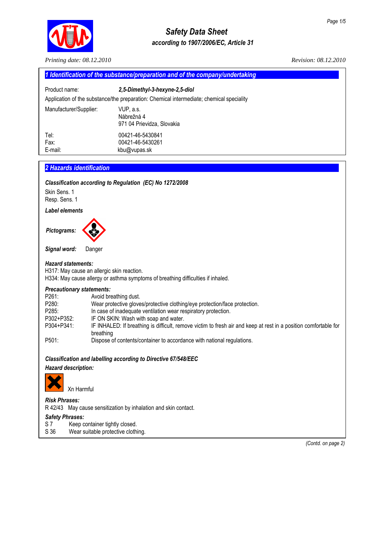

# *Safety Data Sheet according to 1907/2006/EC, Article 31*

*Printing date: 08.12.2010 Revision: 08.12.2010* 

*Signal word:* Danger

### *Hazard statements:*

H317: May cause an allergic skin reaction.

Őř.

H334: May cause allergy or asthma symptoms of breathing difficulties if inhaled.

### *Precautionary statements:*

| P261:      | Avoid breathing dust.                                                                                                         |
|------------|-------------------------------------------------------------------------------------------------------------------------------|
| P280:      | Wear protective gloves/protective clothing/eye protection/face protection.                                                    |
| P285:      | In case of inadequate ventilation wear respiratory protection.                                                                |
| P302+P352: | IF ON SKIN: Wash with soap and water.                                                                                         |
| P304+P341: | IF INHALED: If breathing is difficult, remove victim to fresh air and keep at rest in a position comfortable for<br>breathing |
| P501:      | Dispose of contents/container to accordance with national regulations.                                                        |

# *Classification and labelling according to Directive 67/548/EEC*

# *Hazard description:*



# *Risk Phrases:*

R 42/43 May cause sensitization by inhalation and skin contact.

# *Safety Phrases:*

- 
- S 7 Keep container tightly closed.<br>S 36 Wear suitable protective cloth Wear suitable protective clothing.

 *(Contd. on page 2)*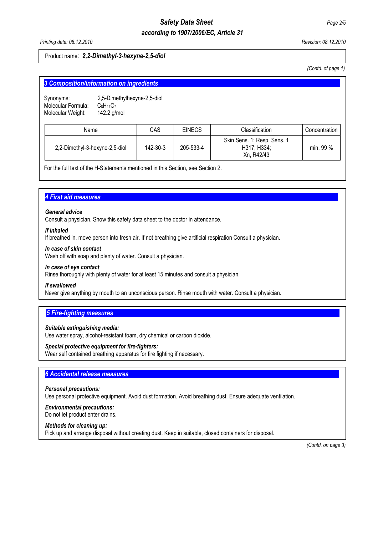# *Safety Data Sheet Page 2/5 according to 1907/2006/EC, Article 31*

*Printing date: 08.12.2010 Revision: 08.12.2010* 

### Product name: *2,2-Dimethyl-3-hexyne-2,5-diol*

*(Contd. of page 1)* 

| 3 Composition/information on ingredients             |                                                                |          |               |                                                          |               |
|------------------------------------------------------|----------------------------------------------------------------|----------|---------------|----------------------------------------------------------|---------------|
| Synonyms:<br>Molecular Formula:<br>Molecular Weight: | 2,5-Dimethylhexyne-2,5-diol<br>$C_8H_{14}O_2$<br>142.2 $g/mol$ |          |               |                                                          |               |
| Name                                                 |                                                                | CAS      | <b>EINECS</b> | Classification                                           | Concentration |
| 2,2-Dimethyl-3-hexyne-2,5-diol                       |                                                                | 142-30-3 | 205-533-4     | Skin Sens. 1; Resp. Sens. 1<br>H317; H334;<br>Xn, R42/43 | min. 99 %     |

For the full text of the H-Statements mentioned in this Section, see Section 2.

# **4 First aid measures**

### *General advice*

Consult a physician. Show this safety data sheet to the doctor in attendance.

### *If inhaled*

If breathed in, move person into fresh air. If not breathing give artificial respiration Consult a physician.

### *In case of skin contact*

Wash off with soap and plenty of water. Consult a physician.

#### *In case of eye contact*

Rinse thoroughly with plenty of water for at least 15 minutes and consult a physician.

### *If swallowed*

Never give anything by mouth to an unconscious person. Rinse mouth with water. Consult a physician.

# **5 Fire-fighting measures**

### *Suitable extinguishing media:*

Use water spray, alcohol-resistant foam, dry chemical or carbon dioxide.

### *Special protective equipment for fire-fighters:*

Wear self contained breathing apparatus for fire fighting if necessary.

# **6 Accidental release measures**

#### *Personal precautions:*

Use personal protective equipment. Avoid dust formation. Avoid breathing dust. Ensure adequate ventilation.

# *Environmental precautions:*

Do not let product enter drains.

### *Methods for cleaning up:*

Pick up and arrange disposal without creating dust. Keep in suitable, closed containers for disposal.

 *(Contd. on page 3)*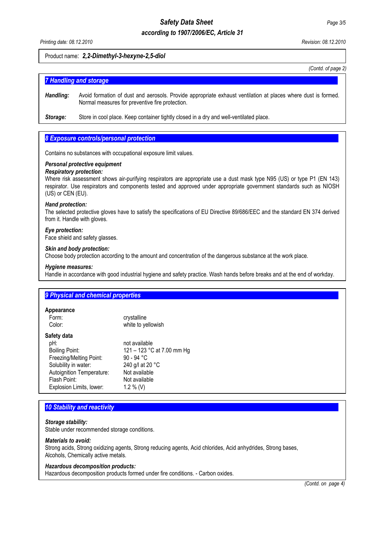# *Safety Data Sheet Page 3/5 according to 1907/2006/EC, Article 31*

*Printing date: 08.12.2010 Revision: 08.12.2010* 

### Product name: *2,2-Dimethyl-3-hexyne-2,5-diol*

*(Contd. of page 2)*

# **7 Handling and storage**

*Handling:* Avoid formation of dust and aerosols. Provide appropriate exhaust ventilation at places where dust is formed. Normal measures for preventive fire protection.

**Storage:** Store in cool place. Keep container tightly closed in a dry and well-ventilated place.

### **8 Exposure controls/personal protection**

Contains no substances with occupational exposure limit values.

#### *Personal protective equipment*

#### *Respiratory protection:*

Where risk assessment shows air-purifying respirators are appropriate use a dust mask type N95 (US) or type P1 (EN 143) respirator. Use respirators and components tested and approved under appropriate government standards such as NIOSH (US) or CEN (EU).

### *Hand protection:*

The selected protective gloves have to satisfy the specifications of EU Directive 89/686/EEC and the standard EN 374 derived from it. Handle with gloves.

### *Eye protection:*

Face shield and safety glasses.

#### *Skin and body protection:*

Choose body protection according to the amount and concentration of the dangerous substance at the work place.

#### *Hygiene measures:*

Handle in accordance with good industrial hygiene and safety practice. Wash hands before breaks and at the end of workday.

### **9 Physical and chemical properties**

#### **Appearance**

| Form:                     | crystalline                |
|---------------------------|----------------------------|
| Color:                    | white to yellowish         |
| Safety data               |                            |
| pH:                       | not available              |
| <b>Boiling Point:</b>     | 121 - 123 °C at 7.00 mm Hg |
| Freezing/Melting Point:   | 90 - 94 °C                 |
| Solubility in water:      | 240 g/l at 20 °C           |
| Autoignition Temperature: | Not available              |
| Flash Point:              | Not available              |
| Explosion Limits, lower:  | 1.2 % (V)                  |
|                           |                            |

# **10 Stability and reactivity**

### *Storage stability:*

Stable under recommended storage conditions.

#### *Materials to avoid:*

Strong acids, Strong oxidizing agents, Strong reducing agents, Acid chlorides, Acid anhydrides, Strong bases, Alcohols, Chemically active metals.

#### *Hazardous decomposition products:*

Hazardous decomposition products formed under fire conditions. - Carbon oxides.

*(Contd. on page 4)*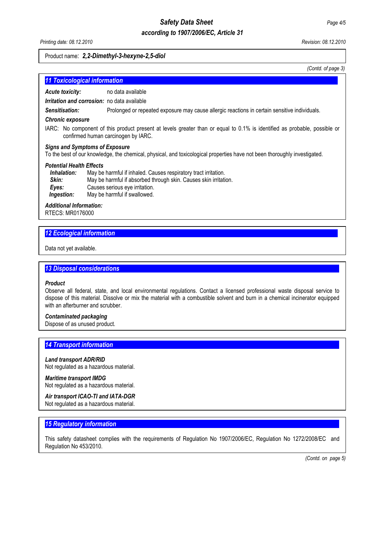# *Safety Data Sheet Page 4/5*

# *according to 1907/2006/EC, Article 31*

#### Product name: *2,2-Dimethyl-3-hexyne-2,5-diol*

*(Contd. of page 3)*

| <b>11 Toxicological information</b>                |                                                                                               |  |
|----------------------------------------------------|-----------------------------------------------------------------------------------------------|--|
| <b>Acute toxicity:</b>                             | no data available                                                                             |  |
| <b>Irritation and corrosion:</b> no data available |                                                                                               |  |
| Sensitisation:                                     | Prolonged or repeated exposure may cause allergic reactions in certain sensitive individuals. |  |

#### *Chronic exposure*

IARC:No component of this product present at levels greater than or equal to 0.1% is identified as probable, possible or confirmed human carcinogen by IARC.

#### *Signs and Symptoms of Exposure*

To the best of our knowledge, the chemical, physical, and toxicological properties have not been thoroughly investigated.

#### *Potential Health Effects*

| Inhalation: | May be harmful if inhaled. Causes respiratory tract irritation.  |
|-------------|------------------------------------------------------------------|
| Skin:       | May be harmful if absorbed through skin. Causes skin irritation. |
| Eves:       | Causes serious eye irritation.                                   |
| Ingestion:  | May be harmful if swallowed.                                     |

### *Additional Information:*

RTECS: MR0176000

# *12 Ecological information............................................................................................................................................*

Data not yet available.

### *13 Disposal considerations..........................................................................................................................................*

#### *Product*

Observe all federal, state, and local environmental regulations. Contact a licensed professional waste disposal service to dispose of this material. Dissolve or mix the material with a combustible solvent and burn in a chemical incinerator equipped with an afterburner and scrubber.

#### *Contaminated packaging*

Dispose of as unused product.

# **14 Transport information**

#### *Land transport ADR/RID*

Not regulated as a hazardous material.

# *Maritime transport IMDG*

Not regulated as a hazardous material.

# *Air transport ICAO-TI and IATA-DGR*

Not regulated as a hazardous material.

### **15 Regulatory information**

This safety datasheet complies with the requirements of Regulation No 1907/2006/EC, Regulation No 1272/2008/EC and Regulation No 453/2010.

 *(Contd. on page 5)*